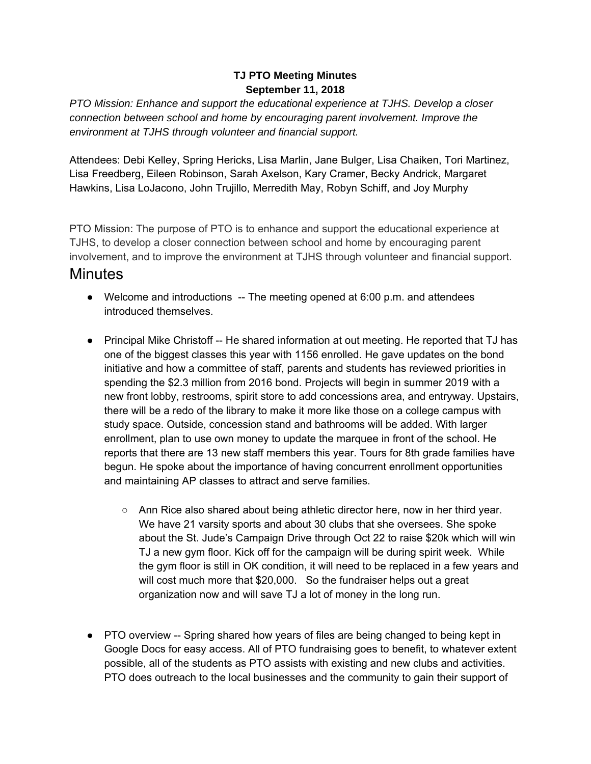## **TJ PTO Meeting Minutes September 11, 2018**

*PTO Mission: Enhance and support the educational experience at TJHS. Develop a closer connection between school and home by encouraging parent involvement. Improve the environment at TJHS through volunteer and financial support.* 

Attendees: Debi Kelley, Spring Hericks, Lisa Marlin, Jane Bulger, Lisa Chaiken, Tori Martinez, Lisa Freedberg, Eileen Robinson, Sarah Axelson, Kary Cramer, Becky Andrick, Margaret Hawkins, Lisa LoJacono, John Trujillo, Merredith May, Robyn Schiff, and Joy Murphy

PTO Mission: The purpose of PTO is to enhance and support the educational experience at TJHS, to develop a closer connection between school and home by encouraging parent involvement, and to improve the environment at TJHS through volunteer and financial support.

## **Minutes**

- Welcome and introductions -- The meeting opened at 6:00 p.m. and attendees introduced themselves.
- Principal Mike Christoff -- He shared information at out meeting. He reported that TJ has one of the biggest classes this year with 1156 enrolled. He gave updates on the bond initiative and how a committee of staff, parents and students has reviewed priorities in spending the \$2.3 million from 2016 bond. Projects will begin in summer 2019 with a new front lobby, restrooms, spirit store to add concessions area, and entryway. Upstairs, there will be a redo of the library to make it more like those on a college campus with study space. Outside, concession stand and bathrooms will be added. With larger enrollment, plan to use own money to update the marquee in front of the school. He reports that there are 13 new staff members this year. Tours for 8th grade families have begun. He spoke about the importance of having concurrent enrollment opportunities and maintaining AP classes to attract and serve families.
	- Ann Rice also shared about being athletic director here, now in her third year. We have 21 varsity sports and about 30 clubs that she oversees. She spoke about the St. Jude's Campaign Drive through Oct 22 to raise \$20k which will win TJ a new gym floor. Kick off for the campaign will be during spirit week. While the gym floor is still in OK condition, it will need to be replaced in a few years and will cost much more that \$20,000. So the fundraiser helps out a great organization now and will save TJ a lot of money in the long run.
- PTO overview -- Spring shared how years of files are being changed to being kept in Google Docs for easy access. All of PTO fundraising goes to benefit, to whatever extent possible, all of the students as PTO assists with existing and new clubs and activities. PTO does outreach to the local businesses and the community to gain their support of